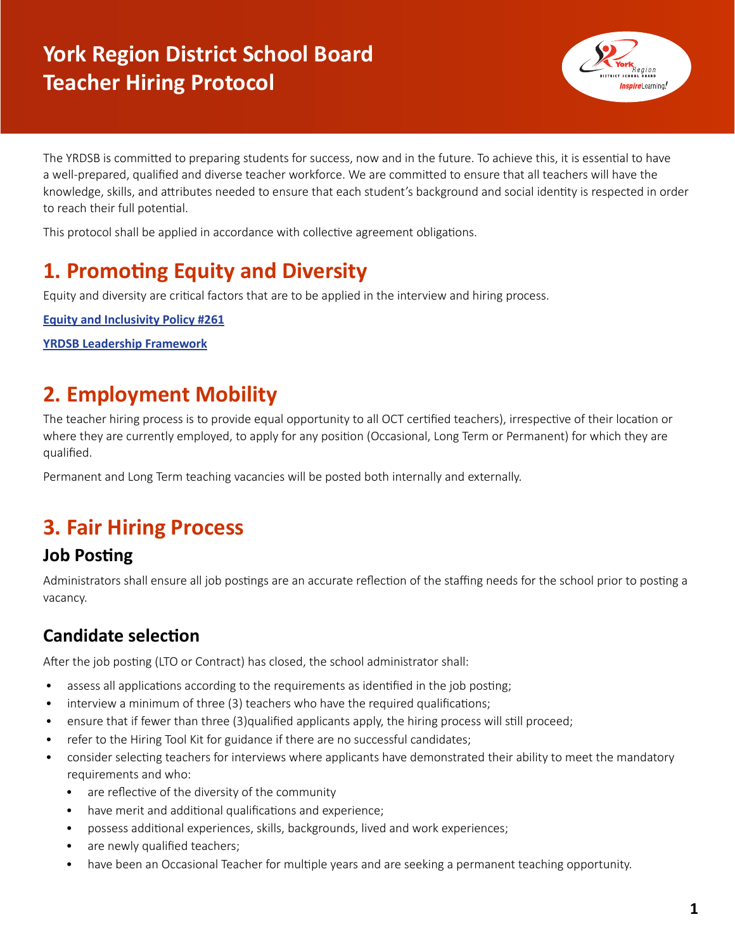# **York Region District School Board Teacher Hiring Protocol**



The YRDSB is committed to preparing students for success, now and in the future. To achieve this, it is essential to have a well-prepared, qualified and diverse teacher workforce. We are committed to ensure that all teachers will have the knowledge, skills, and attributes needed to ensure that each student's background and social identity is respected in order to reach their full potential.

This protocol shall be applied in accordance with collective agreement obligations.

## **1. Promoting Equity and Diversity**

Equity and diversity are critical factors that are to be applied in the interview and hiring process.

**[Equity and Inclusivity Policy #261](https://staffweb-yrdsb.msappproxy.net/boarddocs/Documents/POL-equityandinclusiveeducation-261.pdf)**

**[YRDSB Leadership Framework](https://staffweb-yrdsb.msappproxy.net/services/ld/Pages/YRDSB-Leadership-Framework-for-Administrators.aspx)**

## **2. Employment Mobility**

The teacher hiring process is to provide equal opportunity to all OCT certified teachers), irrespective of their location or where they are currently employed, to apply for any position (Occasional, Long Term or Permanent) for which they are qualified.

Permanent and Long Term teaching vacancies will be posted both internally and externally.

## **3. Fair Hiring Process**

### **Job Posting**

Administrators shall ensure all job postings are an accurate reflection of the staffing needs for the school prior to posting a vacancy.

### **Candidate selection**

After the job posting (LTO or Contract) has closed, the school administrator shall:

- assess all applications according to the requirements as identified in the job posting;
- interview a minimum of three (3) teachers who have the required qualifications;
- ensure that if fewer than three (3)qualified applicants apply, the hiring process will still proceed;
- refer to the Hiring Tool Kit for guidance if there are no successful candidates;
- consider selecting teachers for interviews where applicants have demonstrated their ability to meet the mandatory requirements and who:
	- are reflective of the diversity of the community
	- have merit and additional qualifications and experience;
	- possess additional experiences, skills, backgrounds, lived and work experiences;
	- are newly qualified teachers;
	- have been an Occasional Teacher for multiple years and are seeking a permanent teaching opportunity.